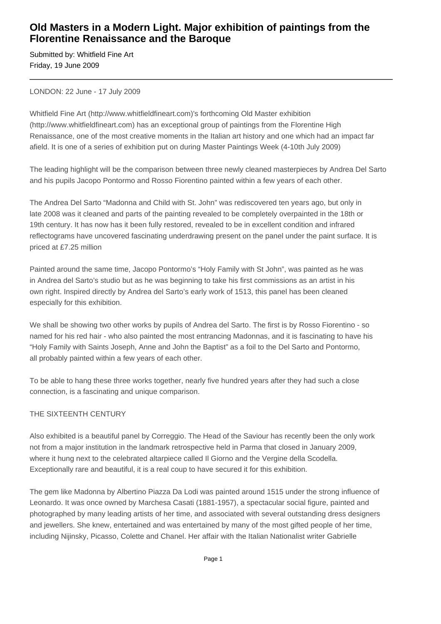## **Old Masters in a Modern Light. Major exhibition of paintings from the Florentine Renaissance and the Baroque**

Submitted by: Whitfield Fine Art Friday, 19 June 2009

LONDON: 22 June - 17 July 2009

Whitfield Fine Art (http://www.whitfieldfineart.com)'s forthcoming Old Master exhibition (http://www.whitfieldfineart.com) has an exceptional group of paintings from the Florentine High Renaissance, one of the most creative moments in the Italian art history and one which had an impact far afield. It is one of a series of exhibition put on during Master Paintings Week (4-10th July 2009)

The leading highlight will be the comparison between three newly cleaned masterpieces by Andrea Del Sarto and his pupils Jacopo Pontormo and Rosso Fiorentino painted within a few years of each other.

The Andrea Del Sarto "Madonna and Child with St. John" was rediscovered ten years ago, but only in late 2008 was it cleaned and parts of the painting revealed to be completely overpainted in the 18th or 19th century. It has now has it been fully restored, revealed to be in excellent condition and infrared reflectograms have uncovered fascinating underdrawing present on the panel under the paint surface. It is priced at £7.25 million

Painted around the same time, Jacopo Pontormo's "Holy Family with St John", was painted as he was in Andrea del Sarto's studio but as he was beginning to take his first commissions as an artist in his own right. Inspired directly by Andrea del Sarto's early work of 1513, this panel has been cleaned especially for this exhibition.

We shall be showing two other works by pupils of Andrea del Sarto. The first is by Rosso Fiorentino - so named for his red hair - who also painted the most entrancing Madonnas, and it is fascinating to have his "Holy Family with Saints Joseph, Anne and John the Baptist" as a foil to the Del Sarto and Pontormo, all probably painted within a few years of each other.

To be able to hang these three works together, nearly five hundred years after they had such a close connection, is a fascinating and unique comparison.

## THE SIXTEENTH CENTURY

Also exhibited is a beautiful panel by Correggio. The Head of the Saviour has recently been the only work not from a major institution in the landmark retrospective held in Parma that closed in January 2009, where it hung next to the celebrated altarpiece called Il Giorno and the Vergine della Scodella. Exceptionally rare and beautiful, it is a real coup to have secured it for this exhibition.

The gem like Madonna by Albertino Piazza Da Lodi was painted around 1515 under the strong influence of Leonardo. It was once owned by Marchesa Casati (1881-1957), a spectacular social figure, painted and photographed by many leading artists of her time, and associated with several outstanding dress designers and jewellers. She knew, entertained and was entertained by many of the most gifted people of her time, including Nijinsky, Picasso, Colette and Chanel. Her affair with the Italian Nationalist writer Gabrielle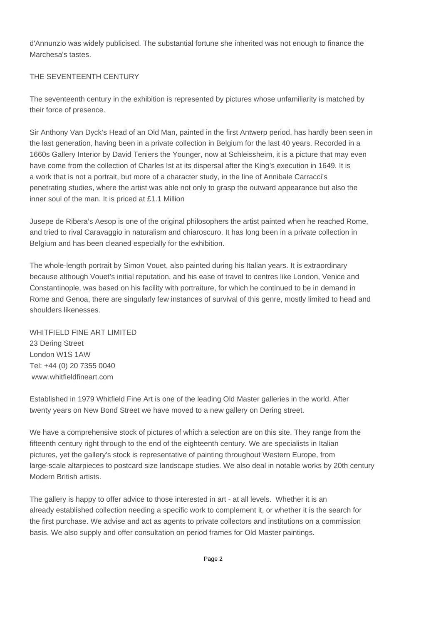d'Annunzio was widely publicised. The substantial fortune she inherited was not enough to finance the Marchesa's tastes.

## THE SEVENTEENTH CENTURY

The seventeenth century in the exhibition is represented by pictures whose unfamiliarity is matched by their force of presence.

Sir Anthony Van Dyck's Head of an Old Man, painted in the first Antwerp period, has hardly been seen in the last generation, having been in a private collection in Belgium for the last 40 years. Recorded in a 1660s Gallery Interior by David Teniers the Younger, now at Schleissheim, it is a picture that may even have come from the collection of Charles Ist at its dispersal after the King's execution in 1649. It is a work that is not a portrait, but more of a character study, in the line of Annibale Carracci's penetrating studies, where the artist was able not only to grasp the outward appearance but also the inner soul of the man. It is priced at £1.1 Million

Jusepe de Ribera's Aesop is one of the original philosophers the artist painted when he reached Rome, and tried to rival Caravaggio in naturalism and chiaroscuro. It has long been in a private collection in Belgium and has been cleaned especially for the exhibition.

The whole-length portrait by Simon Vouet, also painted during his Italian years. It is extraordinary because although Vouet's initial reputation, and his ease of travel to centres like London, Venice and Constantinople, was based on his facility with portraiture, for which he continued to be in demand in Rome and Genoa, there are singularly few instances of survival of this genre, mostly limited to head and shoulders likenesses.

WHITFIELD FINE ART LIMITED 23 Dering Street London W1S 1AW Tel: +44 (0) 20 7355 0040 www.whitfieldfineart.com

Established in 1979 Whitfield Fine Art is one of the leading Old Master galleries in the world. After twenty years on New Bond Street we have moved to a new gallery on Dering street.

We have a comprehensive stock of pictures of which a selection are on this site. They range from the fifteenth century right through to the end of the eighteenth century. We are specialists in Italian pictures, yet the gallery's stock is representative of painting throughout Western Europe, from large-scale altarpieces to postcard size landscape studies. We also deal in notable works by 20th century Modern British artists.

The gallery is happy to offer advice to those interested in art - at all levels. Whether it is an already established collection needing a specific work to complement it, or whether it is the search for the first purchase. We advise and act as agents to private collectors and institutions on a commission basis. We also supply and offer consultation on period frames for Old Master paintings.